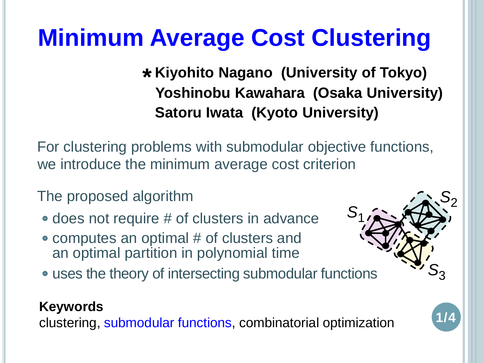# **Minimum Average Cost Clustering**

**Satoru Iwata (Kyoto University) Kiyohito Nagano (University of Tokyo) \* Yoshinobu Kawahara (Osaka University)** 

For clustering problems with submodular objective functions, we introduce the minimum average cost criterion

The proposed algorithm

- does not require # of clusters in advance
- computes an optimal # of clusters and an optimal partition in polynomial time
- uses the theory of intersecting submodular functions

#### **Keywords**

clustering, submodular functions, combinatorial optimization



**1/4**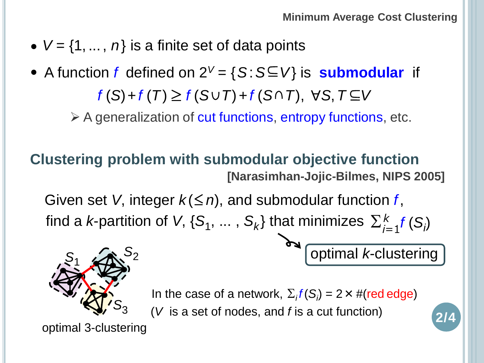- $V = \{1, ..., n\}$  is a finite set of data points
- $f(S) + f(T) \geq f(S \cup T) + f(S \cap T)$ ,  $\forall S, T \subseteq V$ • A function f defined on  $2^V = \{S : S \subseteq V\}$  is **submodular** if

 $\triangleright$  A generalization of cut functions, entropy functions, etc.

### **Clustering problem with submodular objective function [Narasimhan-Jojic-Bilmes, NIPS 2005]**

Given set *V*, integer  $k \leq n$ , and submodular function *f*, find a *k*-partition of *V*, {S<sub>1</sub>, ..., S<sub>k</sub>} that minimizes  $\sum_{i=1}^{k} f(S_i)$ 

optimal *k*-clustering

**2/4**



In the case of a network,  $\Sigma_i f(S_i) = 2 \times #(\text{red edge})$ (*V* is a set of nodes, and *f* is a cut function)

optimal 3-clustering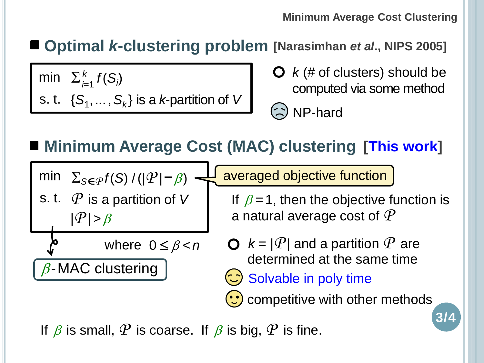#### **Minimum Average Cost Clustering**

## **Optimal** *k***-clustering problem [Narasimhan** *et al***., NIPS 2005]**

min  $\sum_{i=1}^k f(S_i)$ s. t.  $\{S_1, \ldots, S_k\}$  is a *k*-partition of *V*  **O**  $k$  (# of clusters) should be computed via some method

NP-hard

averaged objective function

**Minimum Average Cost (MAC) clustering [This work]**

 $\textsf{min} \quad \Sigma_{\mathcal{S} \in \mathcal{P}} f(\mathcal{S}) / (|\mathcal{P}| - \beta)$ 

s. t. *P* is a partition of *V*  $|P| > \beta$ 

 $\beta$ -MAC clustering

where  $0 \leq \beta < n$ 

If  $\beta = 1$ , then the objective function is a natural average cost of *P*

- $\mathbf{Q}$   $k = |\mathcal{P}|$  and a partition  $\mathcal{P}$  are determined at the same time
- Solvable in poly time

 $\left(\cdot\right)$  competitive with other methods

**3/4**

If  $\beta$  is small,  $\mathcal P$  is coarse. If  $\beta$  is big,  $\mathcal P$  is fine.